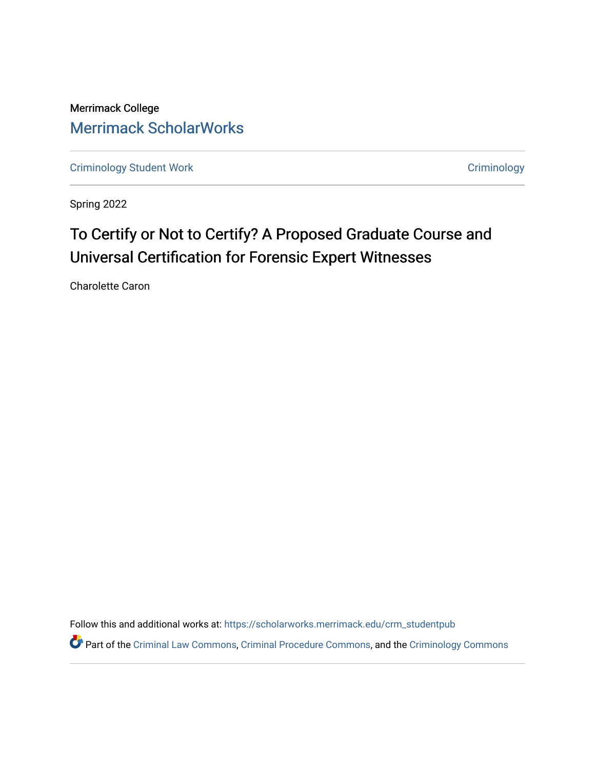Merrimack College [Merrimack ScholarWorks](https://scholarworks.merrimack.edu/) 

[Criminology Student Work](https://scholarworks.merrimack.edu/crm_studentpub) **Criminology** Criminology

Spring 2022

# To Certify or Not to Certify? A Proposed Graduate Course and Universal Certification for Forensic Expert Witnesses

Charolette Caron

Follow this and additional works at: [https://scholarworks.merrimack.edu/crm\\_studentpub](https://scholarworks.merrimack.edu/crm_studentpub?utm_source=scholarworks.merrimack.edu%2Fcrm_studentpub%2F44&utm_medium=PDF&utm_campaign=PDFCoverPages) 

Part of the [Criminal Law Commons,](https://network.bepress.com/hgg/discipline/912?utm_source=scholarworks.merrimack.edu%2Fcrm_studentpub%2F44&utm_medium=PDF&utm_campaign=PDFCoverPages) [Criminal Procedure Commons,](https://network.bepress.com/hgg/discipline/1073?utm_source=scholarworks.merrimack.edu%2Fcrm_studentpub%2F44&utm_medium=PDF&utm_campaign=PDFCoverPages) and the [Criminology Commons](https://network.bepress.com/hgg/discipline/417?utm_source=scholarworks.merrimack.edu%2Fcrm_studentpub%2F44&utm_medium=PDF&utm_campaign=PDFCoverPages)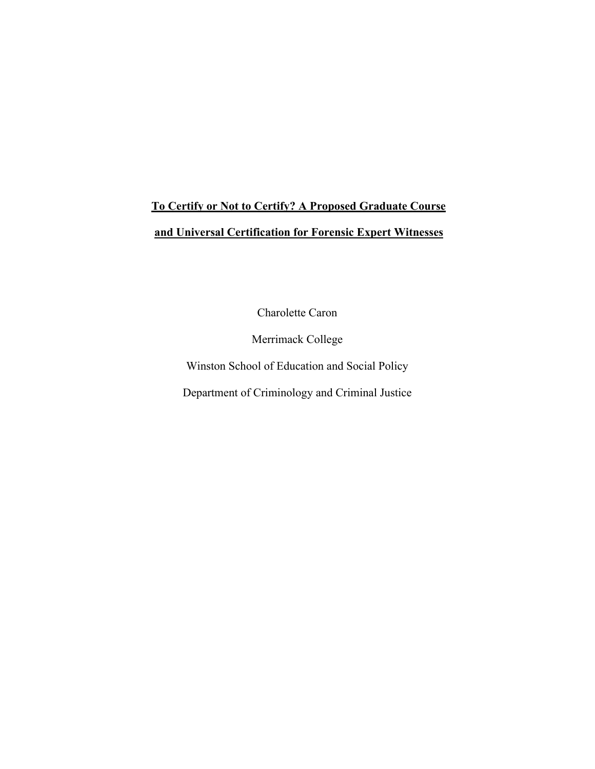# **To Certify or Not to Certify? A Proposed Graduate Course and Universal Certification for Forensic Expert Witnesses**

Charolette Caron

Merrimack College

Winston School of Education and Social Policy

Department of Criminology and Criminal Justice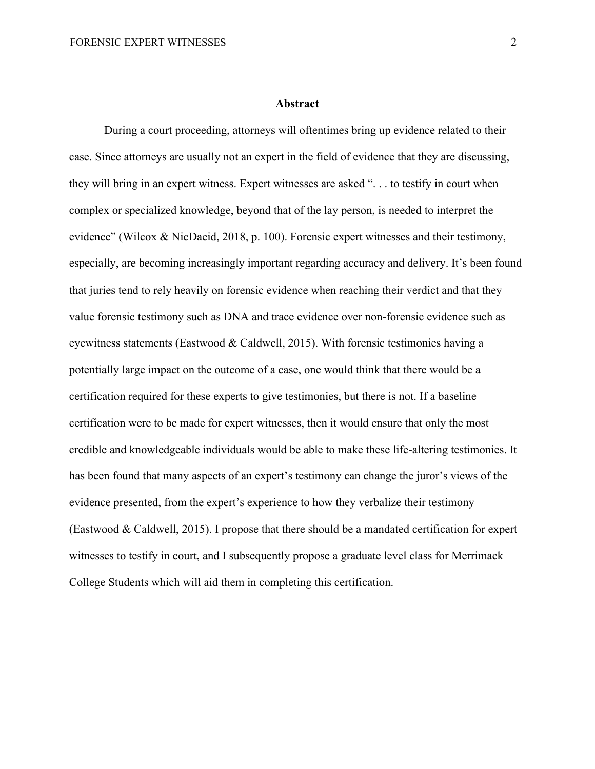#### **Abstract**

During a court proceeding, attorneys will oftentimes bring up evidence related to their case. Since attorneys are usually not an expert in the field of evidence that they are discussing, they will bring in an expert witness. Expert witnesses are asked ". . . to testify in court when complex or specialized knowledge, beyond that of the lay person, is needed to interpret the evidence" (Wilcox & NicDaeid, 2018, p. 100). Forensic expert witnesses and their testimony, especially, are becoming increasingly important regarding accuracy and delivery. It's been found that juries tend to rely heavily on forensic evidence when reaching their verdict and that they value forensic testimony such as DNA and trace evidence over non-forensic evidence such as eyewitness statements (Eastwood & Caldwell, 2015). With forensic testimonies having a potentially large impact on the outcome of a case, one would think that there would be a certification required for these experts to give testimonies, but there is not. If a baseline certification were to be made for expert witnesses, then it would ensure that only the most credible and knowledgeable individuals would be able to make these life-altering testimonies. It has been found that many aspects of an expert's testimony can change the juror's views of the evidence presented, from the expert's experience to how they verbalize their testimony (Eastwood & Caldwell, 2015). I propose that there should be a mandated certification for expert witnesses to testify in court, and I subsequently propose a graduate level class for Merrimack College Students which will aid them in completing this certification.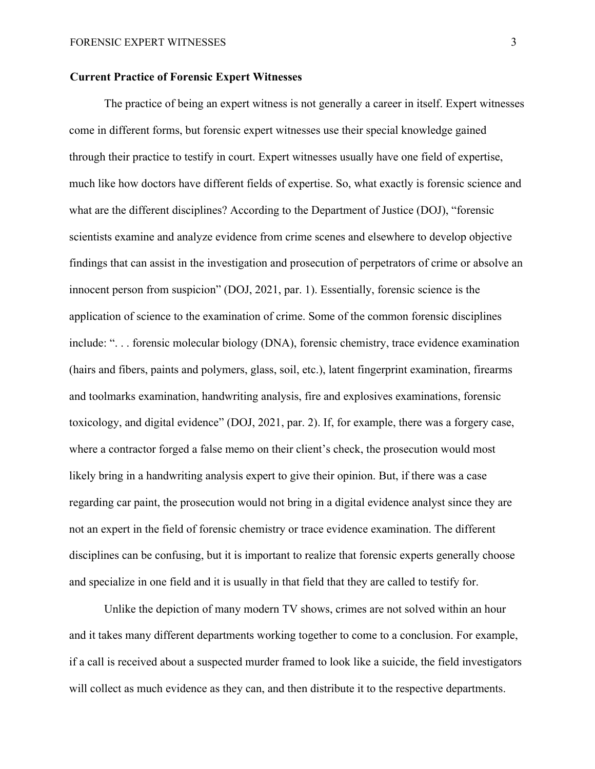# **Current Practice of Forensic Expert Witnesses**

The practice of being an expert witness is not generally a career in itself. Expert witnesses come in different forms, but forensic expert witnesses use their special knowledge gained through their practice to testify in court. Expert witnesses usually have one field of expertise, much like how doctors have different fields of expertise. So, what exactly is forensic science and what are the different disciplines? According to the Department of Justice (DOJ), "forensic scientists examine and analyze evidence from crime scenes and elsewhere to develop objective findings that can assist in the investigation and prosecution of perpetrators of crime or absolve an innocent person from suspicion" (DOJ, 2021, par. 1). Essentially, forensic science is the application of science to the examination of crime. Some of the common forensic disciplines include: ". . . forensic molecular biology (DNA), forensic chemistry, trace evidence examination (hairs and fibers, paints and polymers, glass, soil, etc.), latent fingerprint examination, firearms and toolmarks examination, handwriting analysis, fire and explosives examinations, forensic toxicology, and digital evidence" (DOJ, 2021, par. 2). If, for example, there was a forgery case, where a contractor forged a false memo on their client's check, the prosecution would most likely bring in a handwriting analysis expert to give their opinion. But, if there was a case regarding car paint, the prosecution would not bring in a digital evidence analyst since they are not an expert in the field of forensic chemistry or trace evidence examination. The different disciplines can be confusing, but it is important to realize that forensic experts generally choose and specialize in one field and it is usually in that field that they are called to testify for.

Unlike the depiction of many modern TV shows, crimes are not solved within an hour and it takes many different departments working together to come to a conclusion. For example, if a call is received about a suspected murder framed to look like a suicide, the field investigators will collect as much evidence as they can, and then distribute it to the respective departments.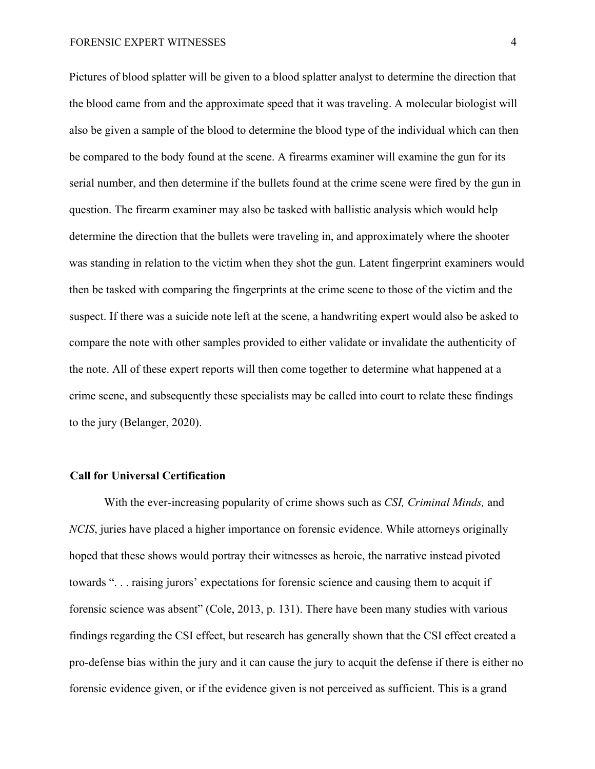#### FORENSIC EXPERT WITNESSES 4

Pictures of blood splatter will be given to a blood splatter analyst to determine the direction that the blood came from and the approximate speed that it was traveling. A molecular biologist will also be given a sample of the blood to determine the blood type of the individual which can then be compared to the body found at the scene. A firearms examiner will examine the gun for its serial number, and then determine if the bullets found at the crime scene were fired by the gun in question. The firearm examiner may also be tasked with ballistic analysis which would help determine the direction that the bullets were traveling in, and approximately where the shooter was standing in relation to the victim when they shot the gun. Latent fingerprint examiners would then be tasked with comparing the fingerprints at the crime scene to those of the victim and the suspect. If there was a suicide note left at the scene, a handwriting expert would also be asked to compare the note with other samples provided to either validate or invalidate the authenticity of the note. All of these expert reports will then come together to determine what happened at a crime scene, and subsequently these specialists may be called into court to relate these findings to the jury (Belanger, 2020).

# **Call for Universal Certification**

With the ever-increasing popularity of crime shows such as *CSI, Criminal Minds,* and *NCIS*, juries have placed a higher importance on forensic evidence. While attorneys originally hoped that these shows would portray their witnesses as heroic, the narrative instead pivoted towards ". . . raising jurors' expectations for forensic science and causing them to acquit if forensic science was absent" (Cole, 2013, p. 131). There have been many studies with various findings regarding the CSI effect, but research has generally shown that the CSI effect created a pro-defense bias within the jury and it can cause the jury to acquit the defense if there is either no forensic evidence given, or if the evidence given is not perceived as sufficient. This is a grand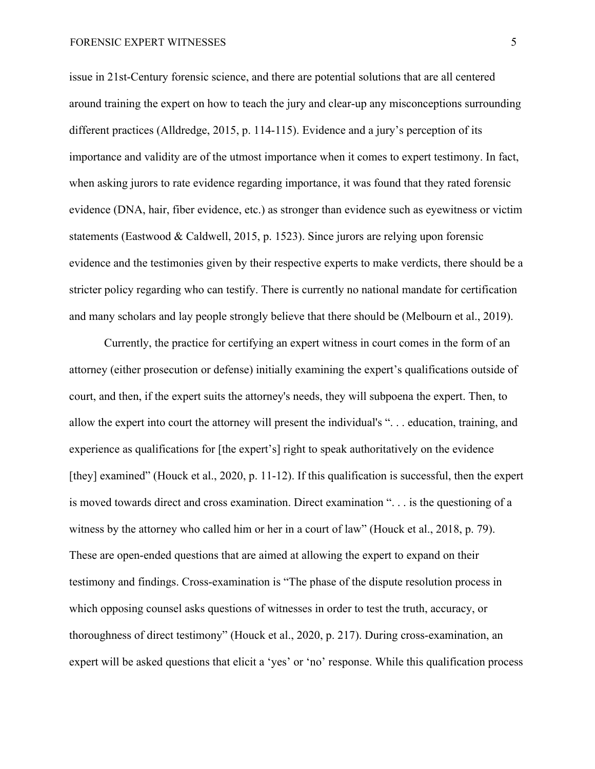issue in 21st-Century forensic science, and there are potential solutions that are all centered around training the expert on how to teach the jury and clear-up any misconceptions surrounding different practices (Alldredge, 2015, p. 114-115). Evidence and a jury's perception of its importance and validity are of the utmost importance when it comes to expert testimony. In fact, when asking jurors to rate evidence regarding importance, it was found that they rated forensic evidence (DNA, hair, fiber evidence, etc.) as stronger than evidence such as eyewitness or victim statements (Eastwood & Caldwell, 2015, p. 1523). Since jurors are relying upon forensic evidence and the testimonies given by their respective experts to make verdicts, there should be a stricter policy regarding who can testify. There is currently no national mandate for certification and many scholars and lay people strongly believe that there should be (Melbourn et al., 2019).

Currently, the practice for certifying an expert witness in court comes in the form of an attorney (either prosecution or defense) initially examining the expert's qualifications outside of court, and then, if the expert suits the attorney's needs, they will subpoena the expert. Then, to allow the expert into court the attorney will present the individual's ". . . education, training, and experience as qualifications for [the expert's] right to speak authoritatively on the evidence [they] examined" (Houck et al., 2020, p. 11-12). If this qualification is successful, then the expert is moved towards direct and cross examination. Direct examination ". . . is the questioning of a witness by the attorney who called him or her in a court of law" (Houck et al., 2018, p. 79). These are open-ended questions that are aimed at allowing the expert to expand on their testimony and findings. Cross-examination is "The phase of the dispute resolution process in which opposing counsel asks questions of witnesses in order to test the truth, accuracy, or thoroughness of direct testimony" (Houck et al., 2020, p. 217). During cross-examination, an expert will be asked questions that elicit a 'yes' or 'no' response. While this qualification process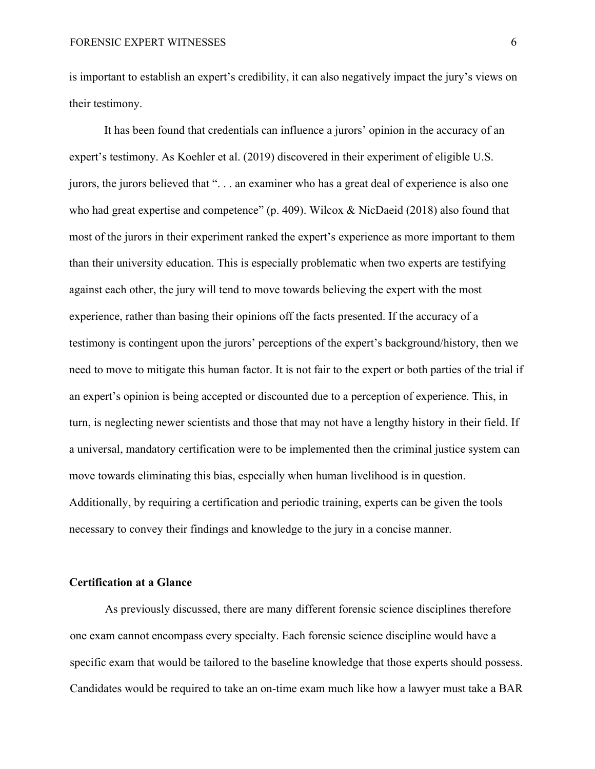is important to establish an expert's credibility, it can also negatively impact the jury's views on their testimony.

It has been found that credentials can influence a jurors' opinion in the accuracy of an expert's testimony. As Koehler et al. (2019) discovered in their experiment of eligible U.S. jurors, the jurors believed that ". . . an examiner who has a great deal of experience is also one who had great expertise and competence" (p. 409). Wilcox & NicDaeid (2018) also found that most of the jurors in their experiment ranked the expert's experience as more important to them than their university education. This is especially problematic when two experts are testifying against each other, the jury will tend to move towards believing the expert with the most experience, rather than basing their opinions off the facts presented. If the accuracy of a testimony is contingent upon the jurors' perceptions of the expert's background/history, then we need to move to mitigate this human factor. It is not fair to the expert or both parties of the trial if an expert's opinion is being accepted or discounted due to a perception of experience. This, in turn, is neglecting newer scientists and those that may not have a lengthy history in their field. If a universal, mandatory certification were to be implemented then the criminal justice system can move towards eliminating this bias, especially when human livelihood is in question. Additionally, by requiring a certification and periodic training, experts can be given the tools necessary to convey their findings and knowledge to the jury in a concise manner.

# **Certification at a Glance**

As previously discussed, there are many different forensic science disciplines therefore one exam cannot encompass every specialty. Each forensic science discipline would have a specific exam that would be tailored to the baseline knowledge that those experts should possess. Candidates would be required to take an on-time exam much like how a lawyer must take a BAR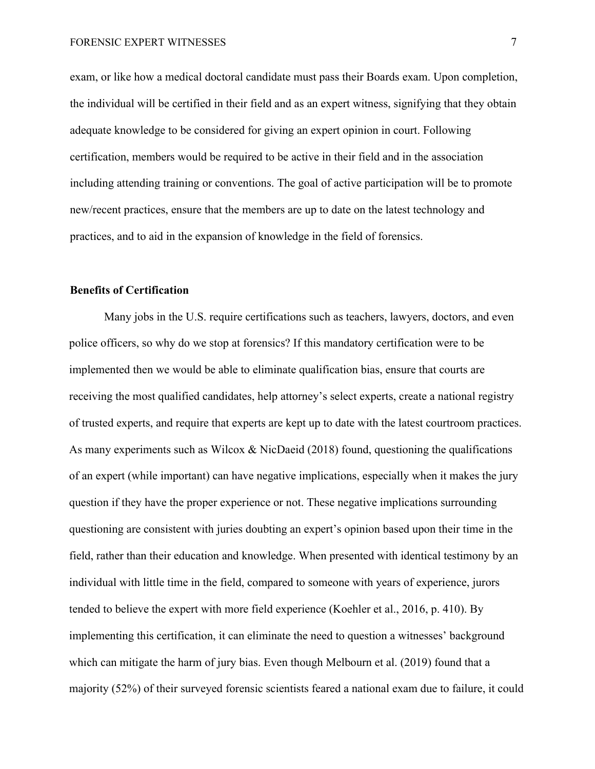exam, or like how a medical doctoral candidate must pass their Boards exam. Upon completion, the individual will be certified in their field and as an expert witness, signifying that they obtain adequate knowledge to be considered for giving an expert opinion in court. Following certification, members would be required to be active in their field and in the association including attending training or conventions. The goal of active participation will be to promote new/recent practices, ensure that the members are up to date on the latest technology and practices, and to aid in the expansion of knowledge in the field of forensics.

# **Benefits of Certification**

Many jobs in the U.S. require certifications such as teachers, lawyers, doctors, and even police officers, so why do we stop at forensics? If this mandatory certification were to be implemented then we would be able to eliminate qualification bias, ensure that courts are receiving the most qualified candidates, help attorney's select experts, create a national registry of trusted experts, and require that experts are kept up to date with the latest courtroom practices. As many experiments such as Wilcox & NicDaeid (2018) found, questioning the qualifications of an expert (while important) can have negative implications, especially when it makes the jury question if they have the proper experience or not. These negative implications surrounding questioning are consistent with juries doubting an expert's opinion based upon their time in the field, rather than their education and knowledge. When presented with identical testimony by an individual with little time in the field, compared to someone with years of experience, jurors tended to believe the expert with more field experience (Koehler et al., 2016, p. 410). By implementing this certification, it can eliminate the need to question a witnesses' background which can mitigate the harm of jury bias. Even though Melbourn et al. (2019) found that a majority (52%) of their surveyed forensic scientists feared a national exam due to failure, it could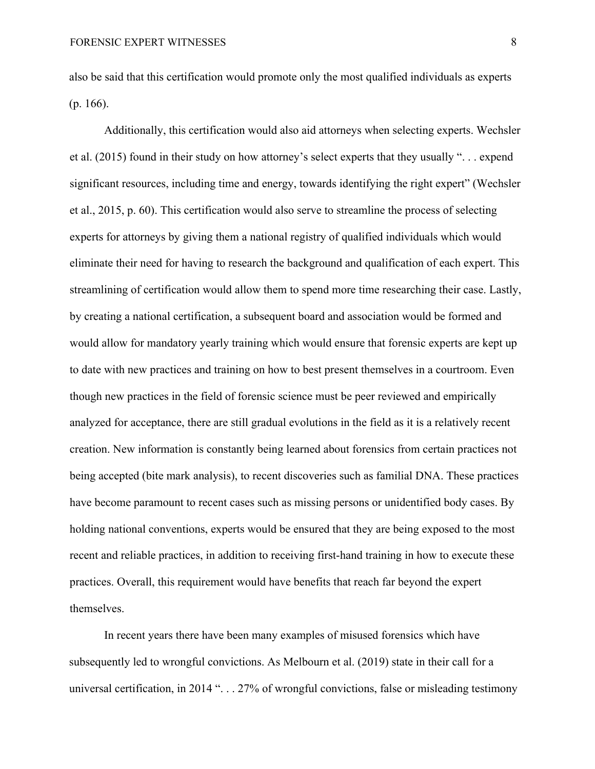also be said that this certification would promote only the most qualified individuals as experts (p. 166).

Additionally, this certification would also aid attorneys when selecting experts. Wechsler et al. (2015) found in their study on how attorney's select experts that they usually ". . . expend significant resources, including time and energy, towards identifying the right expert" (Wechsler et al., 2015, p. 60). This certification would also serve to streamline the process of selecting experts for attorneys by giving them a national registry of qualified individuals which would eliminate their need for having to research the background and qualification of each expert. This streamlining of certification would allow them to spend more time researching their case. Lastly, by creating a national certification, a subsequent board and association would be formed and would allow for mandatory yearly training which would ensure that forensic experts are kept up to date with new practices and training on how to best present themselves in a courtroom. Even though new practices in the field of forensic science must be peer reviewed and empirically analyzed for acceptance, there are still gradual evolutions in the field as it is a relatively recent creation. New information is constantly being learned about forensics from certain practices not being accepted (bite mark analysis), to recent discoveries such as familial DNA. These practices have become paramount to recent cases such as missing persons or unidentified body cases. By holding national conventions, experts would be ensured that they are being exposed to the most recent and reliable practices, in addition to receiving first-hand training in how to execute these practices. Overall, this requirement would have benefits that reach far beyond the expert themselves.

In recent years there have been many examples of misused forensics which have subsequently led to wrongful convictions. As Melbourn et al. (2019) state in their call for a universal certification, in 2014 ". . . 27% of wrongful convictions, false or misleading testimony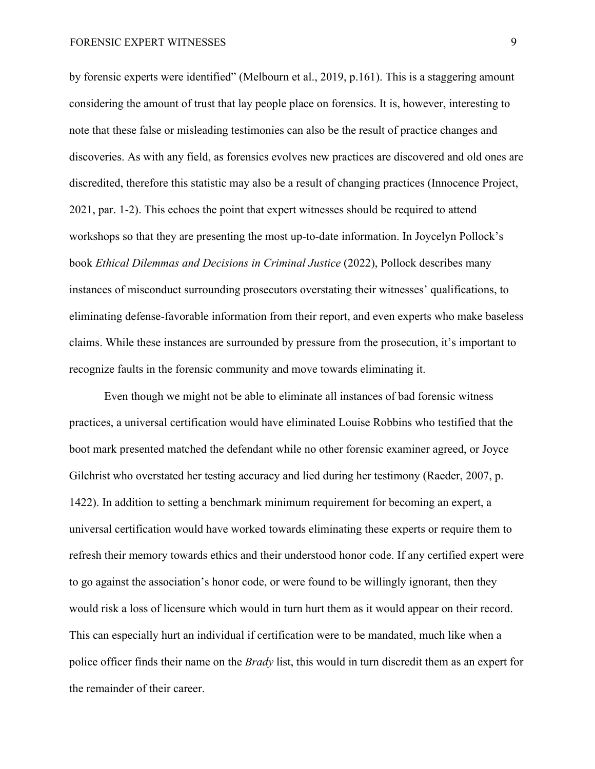by forensic experts were identified" (Melbourn et al., 2019, p.161). This is a staggering amount considering the amount of trust that lay people place on forensics. It is, however, interesting to note that these false or misleading testimonies can also be the result of practice changes and discoveries. As with any field, as forensics evolves new practices are discovered and old ones are discredited, therefore this statistic may also be a result of changing practices (Innocence Project, 2021, par. 1-2). This echoes the point that expert witnesses should be required to attend workshops so that they are presenting the most up-to-date information. In Joycelyn Pollock's book *Ethical Dilemmas and Decisions in Criminal Justice* (2022), Pollock describes many instances of misconduct surrounding prosecutors overstating their witnesses' qualifications, to eliminating defense-favorable information from their report, and even experts who make baseless claims. While these instances are surrounded by pressure from the prosecution, it's important to recognize faults in the forensic community and move towards eliminating it.

Even though we might not be able to eliminate all instances of bad forensic witness practices, a universal certification would have eliminated Louise Robbins who testified that the boot mark presented matched the defendant while no other forensic examiner agreed, or Joyce Gilchrist who overstated her testing accuracy and lied during her testimony (Raeder, 2007, p. 1422). In addition to setting a benchmark minimum requirement for becoming an expert, a universal certification would have worked towards eliminating these experts or require them to refresh their memory towards ethics and their understood honor code. If any certified expert were to go against the association's honor code, or were found to be willingly ignorant, then they would risk a loss of licensure which would in turn hurt them as it would appear on their record. This can especially hurt an individual if certification were to be mandated, much like when a police officer finds their name on the *Brady* list, this would in turn discredit them as an expert for the remainder of their career.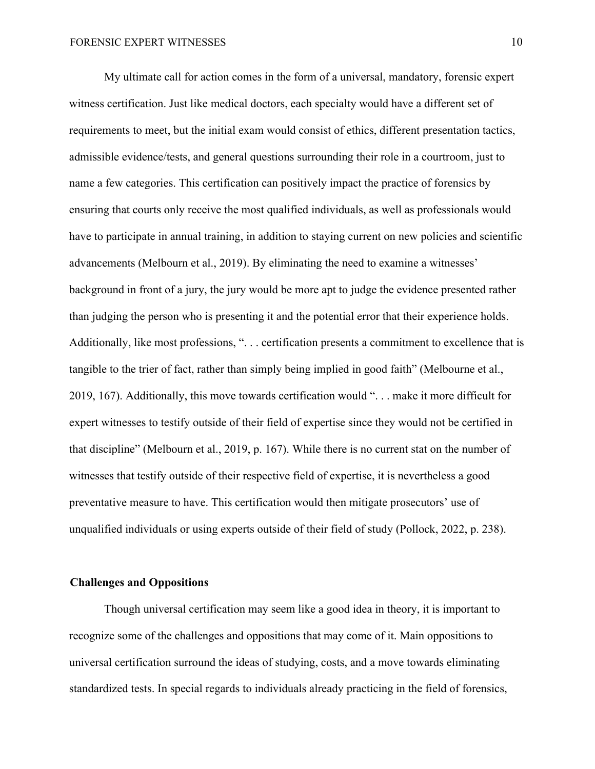My ultimate call for action comes in the form of a universal, mandatory, forensic expert witness certification. Just like medical doctors, each specialty would have a different set of requirements to meet, but the initial exam would consist of ethics, different presentation tactics, admissible evidence/tests, and general questions surrounding their role in a courtroom, just to name a few categories. This certification can positively impact the practice of forensics by ensuring that courts only receive the most qualified individuals, as well as professionals would have to participate in annual training, in addition to staying current on new policies and scientific advancements (Melbourn et al., 2019). By eliminating the need to examine a witnesses' background in front of a jury, the jury would be more apt to judge the evidence presented rather than judging the person who is presenting it and the potential error that their experience holds. Additionally, like most professions, ". . . certification presents a commitment to excellence that is tangible to the trier of fact, rather than simply being implied in good faith" (Melbourne et al., 2019, 167). Additionally, this move towards certification would ". . . make it more difficult for expert witnesses to testify outside of their field of expertise since they would not be certified in that discipline" (Melbourn et al., 2019, p. 167). While there is no current stat on the number of witnesses that testify outside of their respective field of expertise, it is nevertheless a good preventative measure to have. This certification would then mitigate prosecutors' use of unqualified individuals or using experts outside of their field of study (Pollock, 2022, p. 238).

# **Challenges and Oppositions**

Though universal certification may seem like a good idea in theory, it is important to recognize some of the challenges and oppositions that may come of it. Main oppositions to universal certification surround the ideas of studying, costs, and a move towards eliminating standardized tests. In special regards to individuals already practicing in the field of forensics,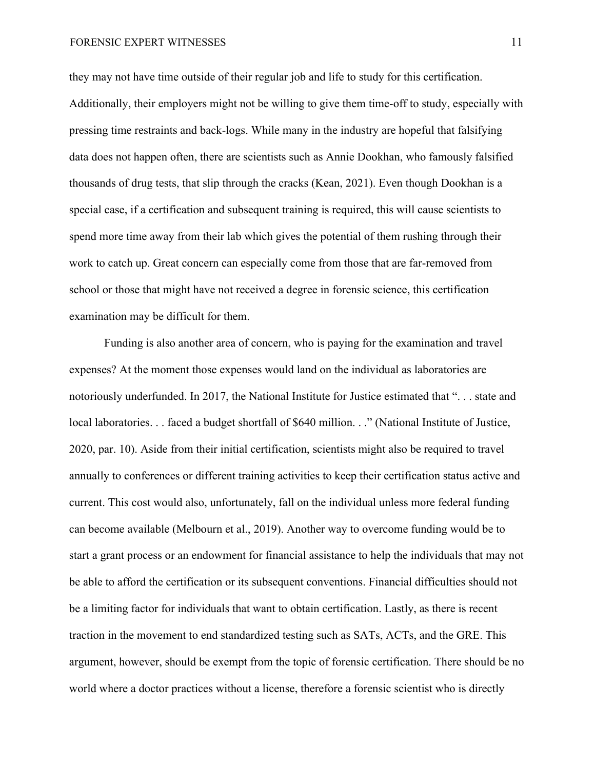# FORENSIC EXPERT WITNESSES 11

they may not have time outside of their regular job and life to study for this certification. Additionally, their employers might not be willing to give them time-off to study, especially with pressing time restraints and back-logs. While many in the industry are hopeful that falsifying data does not happen often, there are scientists such as Annie Dookhan, who famously falsified thousands of drug tests, that slip through the cracks (Kean, 2021). Even though Dookhan is a special case, if a certification and subsequent training is required, this will cause scientists to spend more time away from their lab which gives the potential of them rushing through their work to catch up. Great concern can especially come from those that are far-removed from school or those that might have not received a degree in forensic science, this certification examination may be difficult for them.

Funding is also another area of concern, who is paying for the examination and travel expenses? At the moment those expenses would land on the individual as laboratories are notoriously underfunded. In 2017, the National Institute for Justice estimated that ". . . state and local laboratories. . . faced a budget shortfall of \$640 million. . ." (National Institute of Justice, 2020, par. 10). Aside from their initial certification, scientists might also be required to travel annually to conferences or different training activities to keep their certification status active and current. This cost would also, unfortunately, fall on the individual unless more federal funding can become available (Melbourn et al., 2019). Another way to overcome funding would be to start a grant process or an endowment for financial assistance to help the individuals that may not be able to afford the certification or its subsequent conventions. Financial difficulties should not be a limiting factor for individuals that want to obtain certification. Lastly, as there is recent traction in the movement to end standardized testing such as SATs, ACTs, and the GRE. This argument, however, should be exempt from the topic of forensic certification. There should be no world where a doctor practices without a license, therefore a forensic scientist who is directly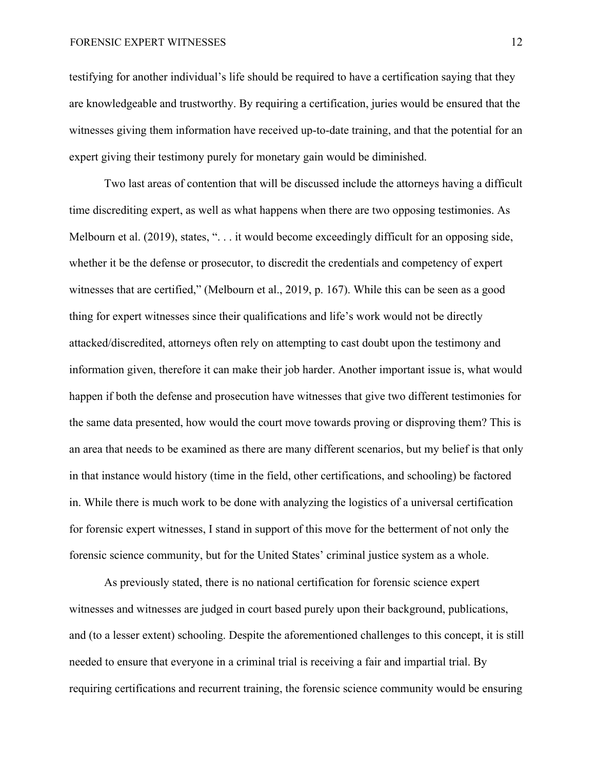testifying for another individual's life should be required to have a certification saying that they are knowledgeable and trustworthy. By requiring a certification, juries would be ensured that the witnesses giving them information have received up-to-date training, and that the potential for an expert giving their testimony purely for monetary gain would be diminished.

Two last areas of contention that will be discussed include the attorneys having a difficult time discrediting expert, as well as what happens when there are two opposing testimonies. As Melbourn et al. (2019), states, "... it would become exceedingly difficult for an opposing side, whether it be the defense or prosecutor, to discredit the credentials and competency of expert witnesses that are certified," (Melbourn et al., 2019, p. 167). While this can be seen as a good thing for expert witnesses since their qualifications and life's work would not be directly attacked/discredited, attorneys often rely on attempting to cast doubt upon the testimony and information given, therefore it can make their job harder. Another important issue is, what would happen if both the defense and prosecution have witnesses that give two different testimonies for the same data presented, how would the court move towards proving or disproving them? This is an area that needs to be examined as there are many different scenarios, but my belief is that only in that instance would history (time in the field, other certifications, and schooling) be factored in. While there is much work to be done with analyzing the logistics of a universal certification for forensic expert witnesses, I stand in support of this move for the betterment of not only the forensic science community, but for the United States' criminal justice system as a whole.

As previously stated, there is no national certification for forensic science expert witnesses and witnesses are judged in court based purely upon their background, publications, and (to a lesser extent) schooling. Despite the aforementioned challenges to this concept, it is still needed to ensure that everyone in a criminal trial is receiving a fair and impartial trial. By requiring certifications and recurrent training, the forensic science community would be ensuring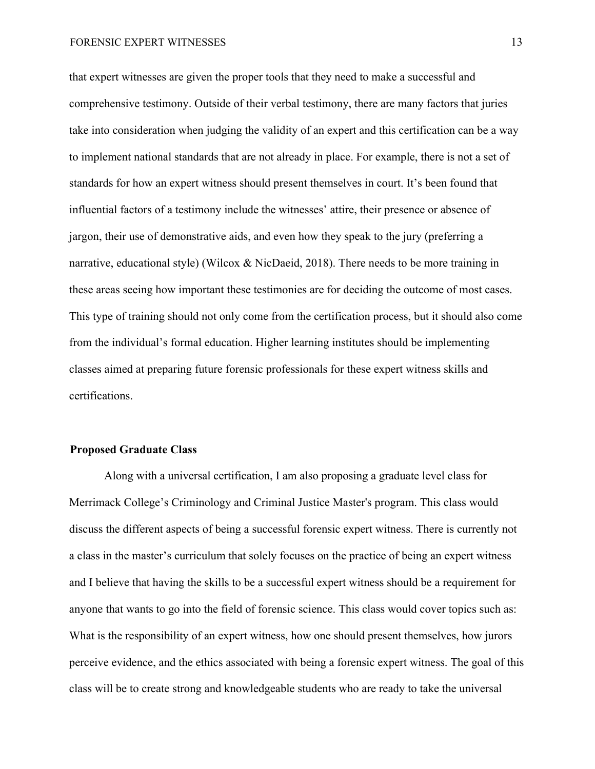### FORENSIC EXPERT WITNESSES 13

that expert witnesses are given the proper tools that they need to make a successful and comprehensive testimony. Outside of their verbal testimony, there are many factors that juries take into consideration when judging the validity of an expert and this certification can be a way to implement national standards that are not already in place. For example, there is not a set of standards for how an expert witness should present themselves in court. It's been found that influential factors of a testimony include the witnesses' attire, their presence or absence of jargon, their use of demonstrative aids, and even how they speak to the jury (preferring a narrative, educational style) (Wilcox & NicDaeid, 2018). There needs to be more training in these areas seeing how important these testimonies are for deciding the outcome of most cases. This type of training should not only come from the certification process, but it should also come from the individual's formal education. Higher learning institutes should be implementing classes aimed at preparing future forensic professionals for these expert witness skills and certifications.

# **Proposed Graduate Class**

Along with a universal certification, I am also proposing a graduate level class for Merrimack College's Criminology and Criminal Justice Master's program. This class would discuss the different aspects of being a successful forensic expert witness. There is currently not a class in the master's curriculum that solely focuses on the practice of being an expert witness and I believe that having the skills to be a successful expert witness should be a requirement for anyone that wants to go into the field of forensic science. This class would cover topics such as: What is the responsibility of an expert witness, how one should present themselves, how jurors perceive evidence, and the ethics associated with being a forensic expert witness. The goal of this class will be to create strong and knowledgeable students who are ready to take the universal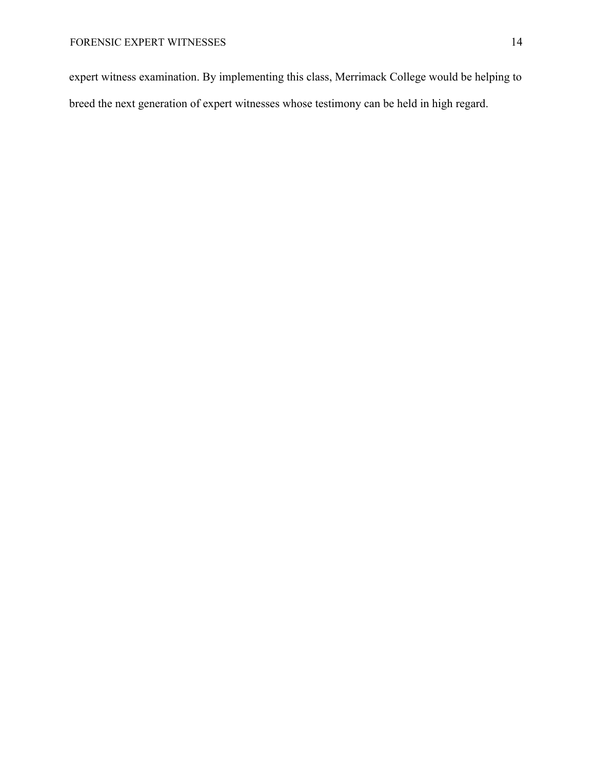expert witness examination. By implementing this class, Merrimack College would be helping to breed the next generation of expert witnesses whose testimony can be held in high regard.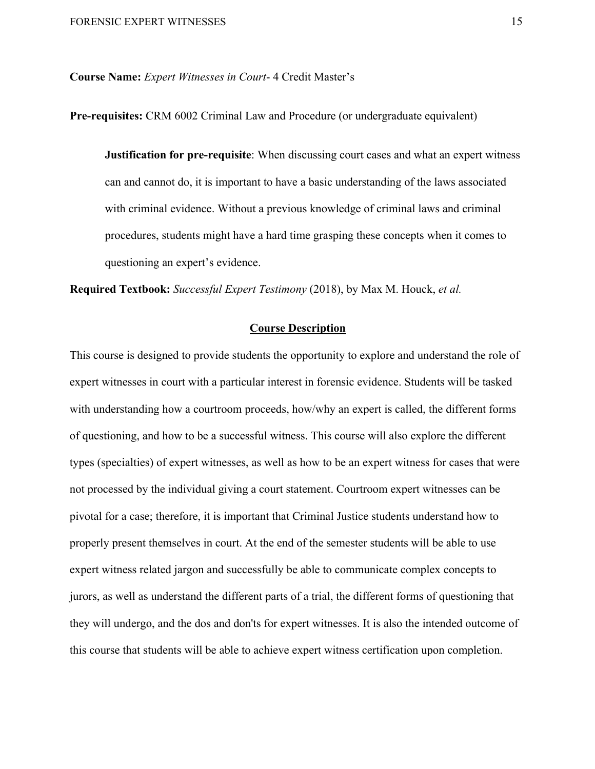**Course Name:** *Expert Witnesses in Court*- 4 Credit Master's

**Pre-requisites:** CRM 6002 Criminal Law and Procedure (or undergraduate equivalent)

**Justification for pre-requisite**: When discussing court cases and what an expert witness can and cannot do, it is important to have a basic understanding of the laws associated with criminal evidence. Without a previous knowledge of criminal laws and criminal procedures, students might have a hard time grasping these concepts when it comes to questioning an expert's evidence.

**Required Textbook:** *Successful Expert Testimony* (2018), by Max M. Houck, *et al.*

# **Course Description**

This course is designed to provide students the opportunity to explore and understand the role of expert witnesses in court with a particular interest in forensic evidence. Students will be tasked with understanding how a courtroom proceeds, how/why an expert is called, the different forms of questioning, and how to be a successful witness. This course will also explore the different types (specialties) of expert witnesses, as well as how to be an expert witness for cases that were not processed by the individual giving a court statement. Courtroom expert witnesses can be pivotal for a case; therefore, it is important that Criminal Justice students understand how to properly present themselves in court. At the end of the semester students will be able to use expert witness related jargon and successfully be able to communicate complex concepts to jurors, as well as understand the different parts of a trial, the different forms of questioning that they will undergo, and the dos and don'ts for expert witnesses. It is also the intended outcome of this course that students will be able to achieve expert witness certification upon completion.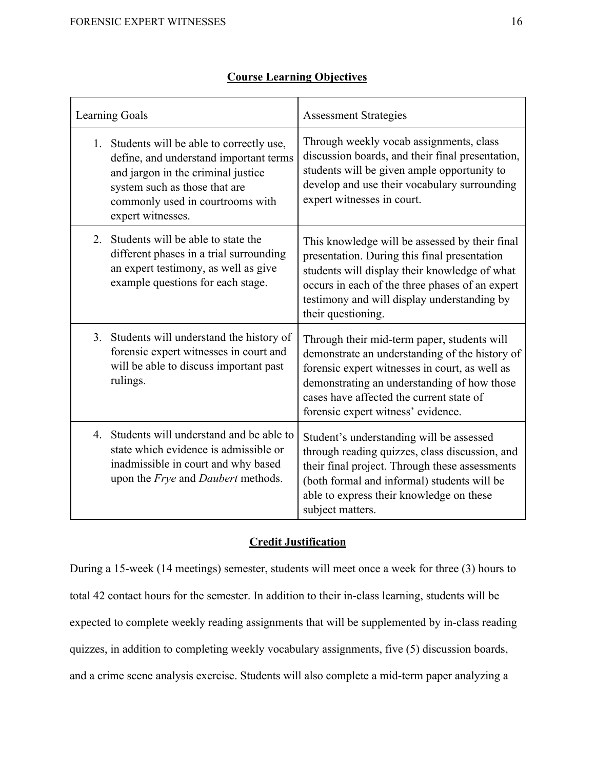| <b>Learning Goals</b> |                                                                                                                                                                                                                   | <b>Assessment Strategies</b>                                                                                                                                                                                                                                                     |  |
|-----------------------|-------------------------------------------------------------------------------------------------------------------------------------------------------------------------------------------------------------------|----------------------------------------------------------------------------------------------------------------------------------------------------------------------------------------------------------------------------------------------------------------------------------|--|
| 1.                    | Students will be able to correctly use,<br>define, and understand important terms<br>and jargon in the criminal justice<br>system such as those that are<br>commonly used in courtrooms with<br>expert witnesses. | Through weekly vocab assignments, class<br>discussion boards, and their final presentation,<br>students will be given ample opportunity to<br>develop and use their vocabulary surrounding<br>expert witnesses in court.                                                         |  |
| 2.                    | Students will be able to state the<br>different phases in a trial surrounding<br>an expert testimony, as well as give<br>example questions for each stage.                                                        | This knowledge will be assessed by their final<br>presentation. During this final presentation<br>students will display their knowledge of what<br>occurs in each of the three phases of an expert<br>testimony and will display understanding by<br>their questioning.          |  |
|                       | 3. Students will understand the history of<br>forensic expert witnesses in court and<br>will be able to discuss important past<br>rulings.                                                                        | Through their mid-term paper, students will<br>demonstrate an understanding of the history of<br>forensic expert witnesses in court, as well as<br>demonstrating an understanding of how those<br>cases have affected the current state of<br>forensic expert witness' evidence. |  |
|                       | 4. Students will understand and be able to<br>state which evidence is admissible or<br>inadmissible in court and why based<br>upon the <i>Frye</i> and <i>Daubert</i> methods.                                    | Student's understanding will be assessed<br>through reading quizzes, class discussion, and<br>their final project. Through these assessments<br>(both formal and informal) students will be<br>able to express their knowledge on these<br>subject matters.                      |  |

# **Course Learning Objectives**

# **Credit Justification**

During a 15-week (14 meetings) semester, students will meet once a week for three (3) hours to total 42 contact hours for the semester. In addition to their in-class learning, students will be expected to complete weekly reading assignments that will be supplemented by in-class reading quizzes, in addition to completing weekly vocabulary assignments, five (5) discussion boards, and a crime scene analysis exercise. Students will also complete a mid-term paper analyzing a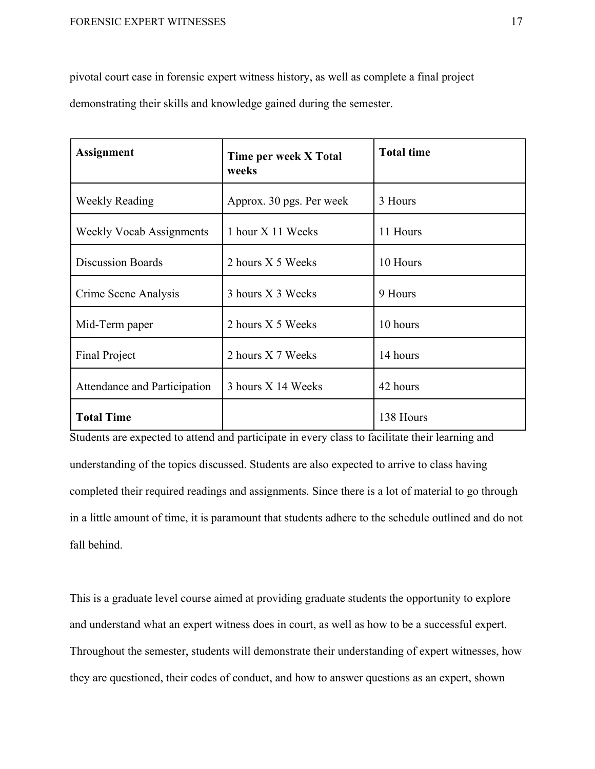pivotal court case in forensic expert witness history, as well as complete a final project

demonstrating their skills and knowledge gained during the semester.

| <b>Assignment</b>               | Time per week X Total<br>weeks | <b>Total time</b> |
|---------------------------------|--------------------------------|-------------------|
| <b>Weekly Reading</b>           | Approx. 30 pgs. Per week       | 3 Hours           |
| <b>Weekly Vocab Assignments</b> | 1 hour X 11 Weeks              | 11 Hours          |
| <b>Discussion Boards</b>        | 2 hours X 5 Weeks              | 10 Hours          |
| Crime Scene Analysis            | 3 hours X 3 Weeks              | 9 Hours           |
| Mid-Term paper                  | 2 hours X 5 Weeks              | 10 hours          |
| <b>Final Project</b>            | 2 hours X 7 Weeks              | 14 hours          |
| Attendance and Participation    | 3 hours X 14 Weeks             | 42 hours          |
| <b>Total Time</b>               |                                | 138 Hours         |

Students are expected to attend and participate in every class to facilitate their learning and understanding of the topics discussed. Students are also expected to arrive to class having completed their required readings and assignments. Since there is a lot of material to go through in a little amount of time, it is paramount that students adhere to the schedule outlined and do not fall behind.

This is a graduate level course aimed at providing graduate students the opportunity to explore and understand what an expert witness does in court, as well as how to be a successful expert. Throughout the semester, students will demonstrate their understanding of expert witnesses, how they are questioned, their codes of conduct, and how to answer questions as an expert, shown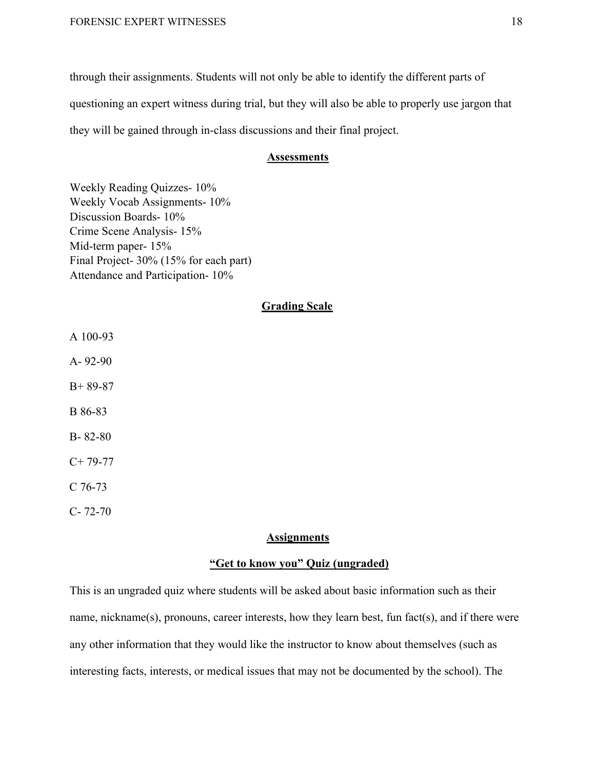through their assignments. Students will not only be able to identify the different parts of questioning an expert witness during trial, but they will also be able to properly use jargon that they will be gained through in-class discussions and their final project.

# **Assessments**

Weekly Reading Quizzes- 10% Weekly Vocab Assignments- 10% Discussion Boards- 10% Crime Scene Analysis- 15% Mid-term paper- 15% Final Project- 30% (15% for each part) Attendance and Participation- 10%

# **Grading Scale**

- A 100-93
- A- 92-90
- B+ 89-87
- B 86-83
- B- 82-80
- $C+ 79-77$
- C 76-73
- C- 72-70

#### **Assignments**

# **"Get to know you" Quiz (ungraded)**

This is an ungraded quiz where students will be asked about basic information such as their name, nickname(s), pronouns, career interests, how they learn best, fun fact(s), and if there were any other information that they would like the instructor to know about themselves (such as interesting facts, interests, or medical issues that may not be documented by the school). The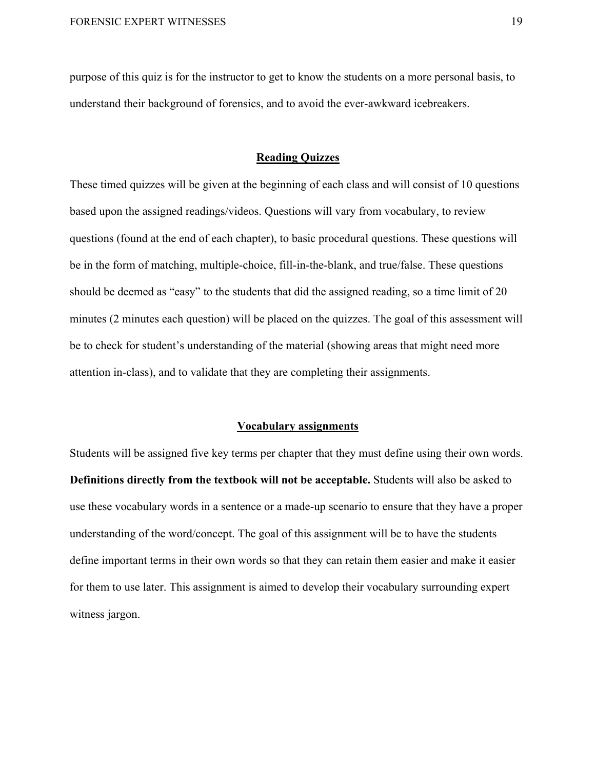purpose of this quiz is for the instructor to get to know the students on a more personal basis, to understand their background of forensics, and to avoid the ever-awkward icebreakers.

# **Reading Quizzes**

These timed quizzes will be given at the beginning of each class and will consist of 10 questions based upon the assigned readings/videos. Questions will vary from vocabulary, to review questions (found at the end of each chapter), to basic procedural questions. These questions will be in the form of matching, multiple-choice, fill-in-the-blank, and true/false. These questions should be deemed as "easy" to the students that did the assigned reading, so a time limit of 20 minutes (2 minutes each question) will be placed on the quizzes. The goal of this assessment will be to check for student's understanding of the material (showing areas that might need more attention in-class), and to validate that they are completing their assignments.

#### **Vocabulary assignments**

Students will be assigned five key terms per chapter that they must define using their own words. **Definitions directly from the textbook will not be acceptable.** Students will also be asked to use these vocabulary words in a sentence or a made-up scenario to ensure that they have a proper understanding of the word/concept. The goal of this assignment will be to have the students define important terms in their own words so that they can retain them easier and make it easier for them to use later. This assignment is aimed to develop their vocabulary surrounding expert witness jargon.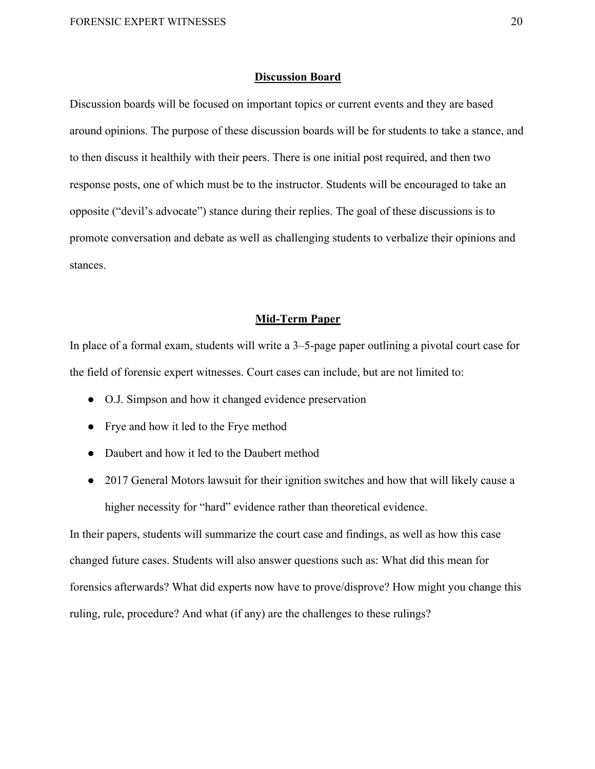# **Discussion Board**

Discussion boards will be focused on important topics or current events and they are based around opinions. The purpose of these discussion boards will be for students to take a stance, and to then discuss it healthily with their peers. There is one initial post required, and then two response posts, one of which must be to the instructor. Students will be encouraged to take an opposite ("devil's advocate") stance during their replies. The goal of these discussions is to promote conversation and debate as well as challenging students to verbalize their opinions and stances.

#### **Mid-Term Paper**

In place of a formal exam, students will write a 3–5-page paper outlining a pivotal court case for the field of forensic expert witnesses. Court cases can include, but are not limited to:

- O.J. Simpson and how it changed evidence preservation
- Frye and how it led to the Frye method
- Daubert and how it led to the Daubert method
- 2017 General Motors lawsuit for their ignition switches and how that will likely cause a higher necessity for "hard" evidence rather than theoretical evidence.

In their papers, students will summarize the court case and findings, as well as how this case changed future cases. Students will also answer questions such as: What did this mean for forensics afterwards? What did experts now have to prove/disprove? How might you change this ruling, rule, procedure? And what (if any) are the challenges to these rulings?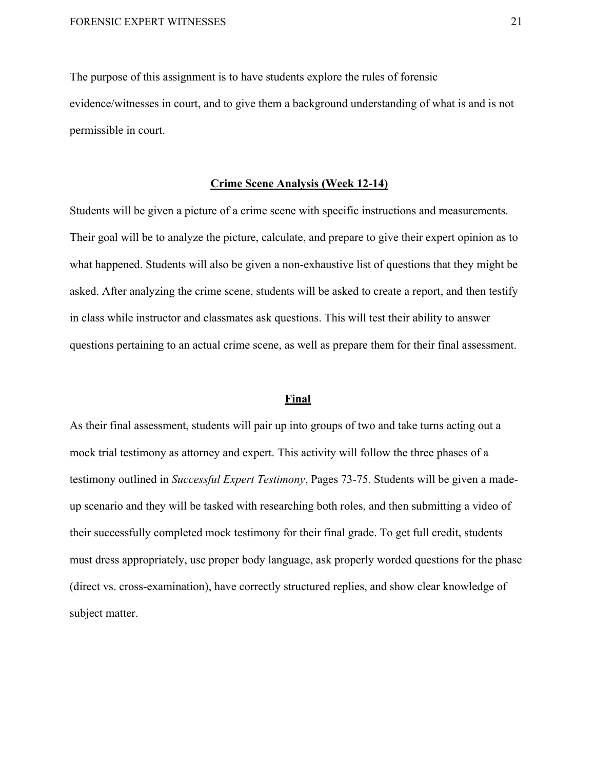The purpose of this assignment is to have students explore the rules of forensic evidence/witnesses in court, and to give them a background understanding of what is and is not permissible in court.

# **Crime Scene Analysis (Week 12-14)**

Students will be given a picture of a crime scene with specific instructions and measurements. Their goal will be to analyze the picture, calculate, and prepare to give their expert opinion as to what happened. Students will also be given a non-exhaustive list of questions that they might be asked. After analyzing the crime scene, students will be asked to create a report, and then testify in class while instructor and classmates ask questions. This will test their ability to answer questions pertaining to an actual crime scene, as well as prepare them for their final assessment.

#### **Final**

As their final assessment, students will pair up into groups of two and take turns acting out a mock trial testimony as attorney and expert. This activity will follow the three phases of a testimony outlined in *Successful Expert Testimony*, Pages 73-75. Students will be given a madeup scenario and they will be tasked with researching both roles, and then submitting a video of their successfully completed mock testimony for their final grade. To get full credit, students must dress appropriately, use proper body language, ask properly worded questions for the phase (direct vs. cross-examination), have correctly structured replies, and show clear knowledge of subject matter.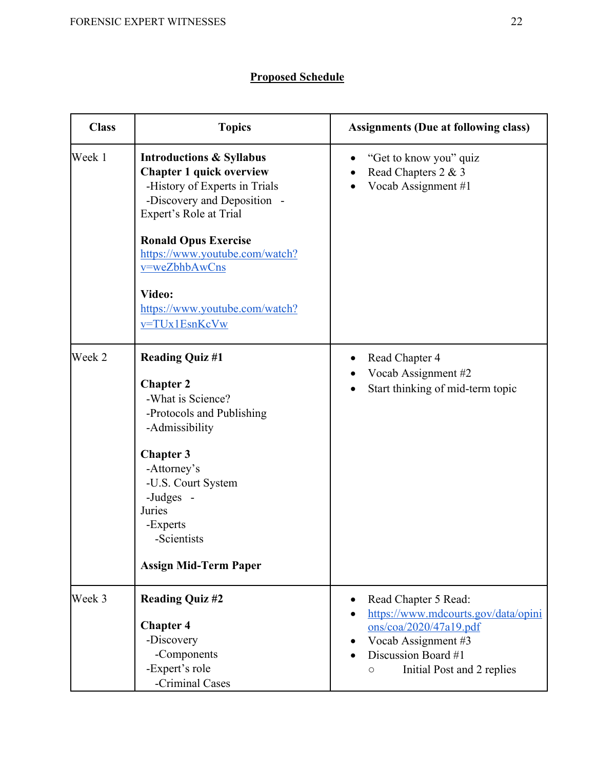# **Proposed Schedule**

| <b>Class</b> | <b>Topics</b>                                                                                                                                                                                                                                                                                                   | <b>Assignments (Due at following class)</b>                                                                                                                            |
|--------------|-----------------------------------------------------------------------------------------------------------------------------------------------------------------------------------------------------------------------------------------------------------------------------------------------------------------|------------------------------------------------------------------------------------------------------------------------------------------------------------------------|
| Week 1       | <b>Introductions &amp; Syllabus</b><br><b>Chapter 1 quick overview</b><br>-History of Experts in Trials<br>-Discovery and Deposition -<br>Expert's Role at Trial<br><b>Ronald Opus Exercise</b><br>https://www.youtube.com/watch?<br>v=weZbhbAwCns<br>Video:<br>https://www.youtube.com/watch?<br>v=TUx1EsnKcVw | "Get to know you" quiz<br>Read Chapters 2 & 3<br>Vocab Assignment #1                                                                                                   |
| Week 2       | <b>Reading Quiz #1</b><br><b>Chapter 2</b><br>-What is Science?<br>-Protocols and Publishing<br>-Admissibility<br><b>Chapter 3</b><br>-Attorney's<br>-U.S. Court System<br>-Judges -<br>Juries<br>-Experts<br>-Scientists<br><b>Assign Mid-Term Paper</b>                                                       | Read Chapter 4<br>Vocab Assignment #2<br>Start thinking of mid-term topic                                                                                              |
| Week 3       | <b>Reading Quiz #2</b><br><b>Chapter 4</b><br>-Discovery<br>-Components<br>-Expert's role<br>-Criminal Cases                                                                                                                                                                                                    | Read Chapter 5 Read:<br>https://www.mdcourts.gov/data/opini<br>ons/coa/2020/47a19.pdf<br>Vocab Assignment #3<br>Discussion Board #1<br>Initial Post and 2 replies<br>O |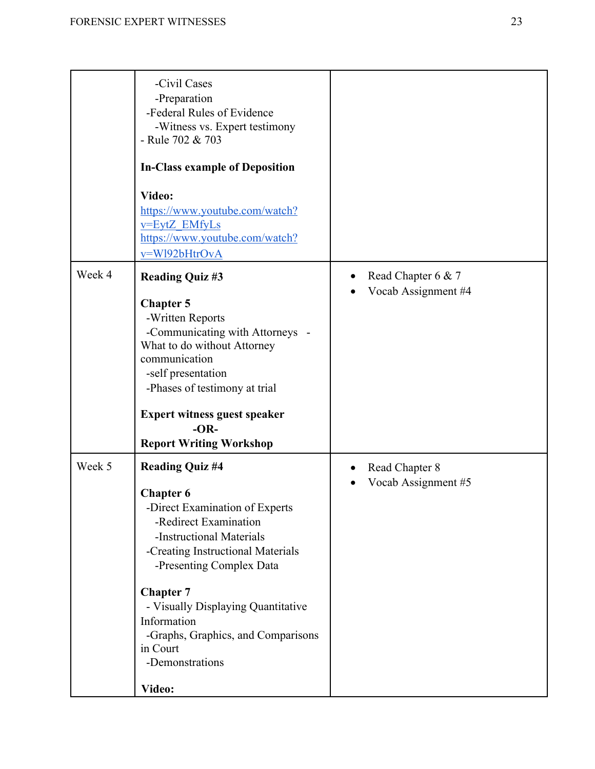|        | -Civil Cases<br>-Preparation<br>-Federal Rules of Evidence<br>-Witness vs. Expert testimony<br>- Rule 702 & 703<br><b>In-Class example of Deposition</b><br>Video:<br>https://www.youtube.com/watch?<br>v=EytZ EMfyLs<br>https://www.youtube.com/watch?<br>v=W192bHtrOvA |                     |
|--------|--------------------------------------------------------------------------------------------------------------------------------------------------------------------------------------------------------------------------------------------------------------------------|---------------------|
| Week 4 | <b>Reading Quiz #3</b>                                                                                                                                                                                                                                                   | Read Chapter 6 & 7  |
|        | <b>Chapter 5</b><br>-Written Reports<br>-Communicating with Attorneys -<br>What to do without Attorney<br>communication<br>-self presentation<br>-Phases of testimony at trial<br><b>Expert witness guest speaker</b><br>$-OR-$                                          | Vocab Assignment #4 |
| Week 5 | <b>Report Writing Workshop</b><br><b>Reading Quiz #4</b>                                                                                                                                                                                                                 | Read Chapter 8      |
|        | <b>Chapter 6</b><br>-Direct Examination of Experts<br>-Redirect Examination<br>-Instructional Materials<br>-Creating Instructional Materials<br>-Presenting Complex Data                                                                                                 | Vocab Assignment #5 |
|        | <b>Chapter 7</b><br>- Visually Displaying Quantitative                                                                                                                                                                                                                   |                     |
|        | Information                                                                                                                                                                                                                                                              |                     |
|        | -Graphs, Graphics, and Comparisons<br>in Court<br>-Demonstrations                                                                                                                                                                                                        |                     |
|        | Video:                                                                                                                                                                                                                                                                   |                     |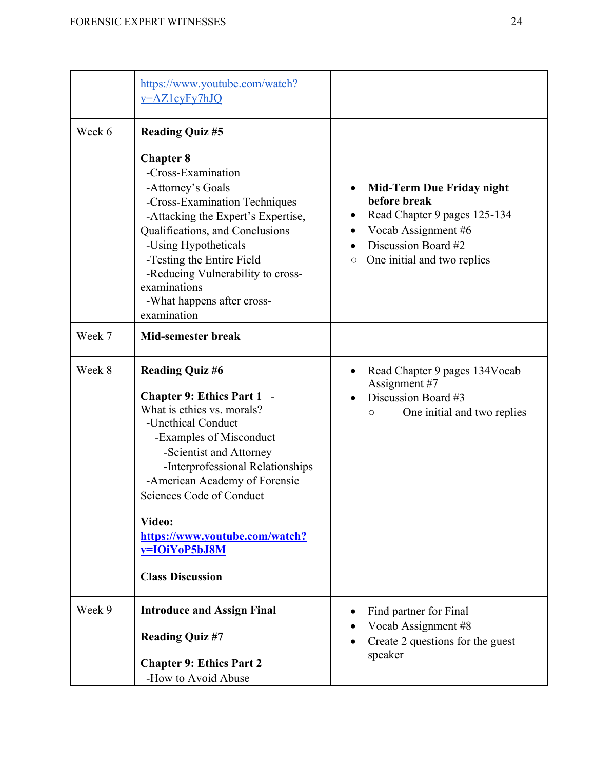|        | https://www.youtube.com/watch?<br>v=AZ1cyFy7hJQ                                                                                                                                                                                                                                                                                                                |                                                                                                                                                                          |
|--------|----------------------------------------------------------------------------------------------------------------------------------------------------------------------------------------------------------------------------------------------------------------------------------------------------------------------------------------------------------------|--------------------------------------------------------------------------------------------------------------------------------------------------------------------------|
| Week 6 | <b>Reading Quiz #5</b>                                                                                                                                                                                                                                                                                                                                         |                                                                                                                                                                          |
|        | <b>Chapter 8</b><br>-Cross-Examination<br>-Attorney's Goals<br>-Cross-Examination Techniques<br>-Attacking the Expert's Expertise,<br>Qualifications, and Conclusions<br>-Using Hypotheticals<br>-Testing the Entire Field<br>-Reducing Vulnerability to cross-<br>examinations<br>-What happens after cross-<br>examination                                   | <b>Mid-Term Due Friday night</b><br>before break<br>Read Chapter 9 pages 125-134<br>Vocab Assignment #6<br>Discussion Board #2<br>One initial and two replies<br>$\circ$ |
| Week 7 | <b>Mid-semester break</b>                                                                                                                                                                                                                                                                                                                                      |                                                                                                                                                                          |
| Week 8 | <b>Reading Quiz #6</b><br><b>Chapter 9: Ethics Part 1 -</b><br>What is ethics vs. morals?<br>-Unethical Conduct<br>-Examples of Misconduct<br>-Scientist and Attorney<br>-Interprofessional Relationships<br>-American Academy of Forensic<br>Sciences Code of Conduct<br>Video:<br>https://www.youtube.com/watch?<br>v=IOiYoP5bJ8M<br><b>Class Discussion</b> | Read Chapter 9 pages 134Vocab<br>Assignment #7<br>Discussion Board #3<br>One initial and two replies<br>О                                                                |
| Week 9 | <b>Introduce and Assign Final</b><br><b>Reading Quiz #7</b><br><b>Chapter 9: Ethics Part 2</b>                                                                                                                                                                                                                                                                 | Find partner for Final<br>Vocab Assignment #8<br>Create 2 questions for the guest<br>speaker                                                                             |
|        | -How to Avoid Abuse                                                                                                                                                                                                                                                                                                                                            |                                                                                                                                                                          |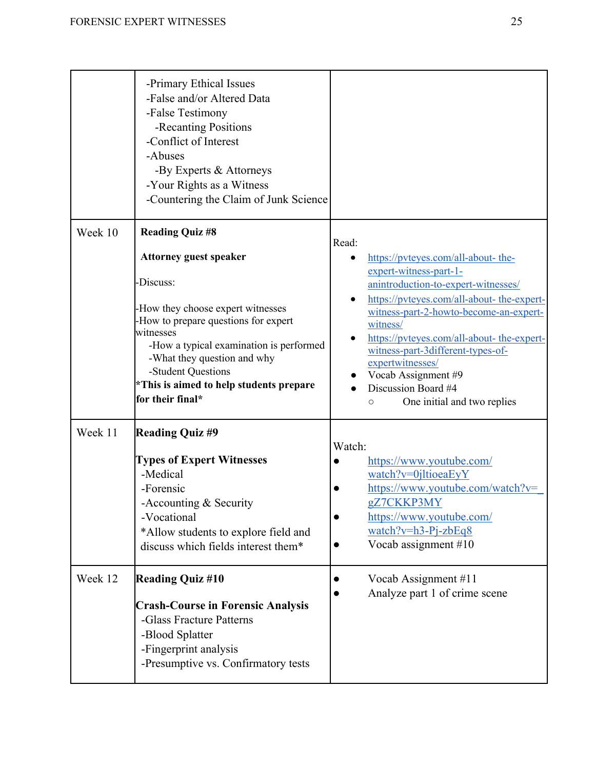|         | -Primary Ethical Issues<br>-False and/or Altered Data<br>-False Testimony<br>-Recanting Positions<br>-Conflict of Interest<br>-Abuses<br>-By Experts & Attorneys<br>-Your Rights as a Witness<br>-Countering the Claim of Junk Science                                                                                     |                                                                                                                                                                                                                                                                                                                                                                                                                  |
|---------|----------------------------------------------------------------------------------------------------------------------------------------------------------------------------------------------------------------------------------------------------------------------------------------------------------------------------|------------------------------------------------------------------------------------------------------------------------------------------------------------------------------------------------------------------------------------------------------------------------------------------------------------------------------------------------------------------------------------------------------------------|
| Week 10 | <b>Reading Quiz #8</b><br><b>Attorney guest speaker</b><br>Discuss:<br>How they choose expert witnesses<br>How to prepare questions for expert<br>witnesses<br>-How a typical examination is performed<br>-What they question and why<br>-Student Questions<br>*This is aimed to help students prepare<br>for their final* | Read:<br>https://pvteyes.com/all-about- the-<br>expert-witness-part-1-<br>anintroduction-to-expert-witnesses/<br>https://pvteyes.com/all-about- the-expert-<br>witness-part-2-howto-become-an-expert-<br>witness/<br>https://pvteyes.com/all-about- the-expert-<br>witness-part-3different-types-of-<br>expertwitnesses/<br>Vocab Assignment #9<br>Discussion Board #4<br>One initial and two replies<br>$\circ$ |
| Week 11 | <b>Reading Quiz #9</b><br><b>Types of Expert Witnesses</b><br>-Medical<br>-Forensic<br>-Accounting $&$ Security<br>-Vocational<br>*Allow students to explore field and<br>discuss which fields interest them*                                                                                                              | Watch:<br>https://www.youtube.com/<br>watch?v=0jltioeaEyY<br>https://www.youtube.com/watch?v=<br>gZ7CKKP3MY<br>https://www.youtube.com/<br>$\bullet$<br>$watch?v=h3-Pj-zbEq8$<br>Vocab assignment $#10$<br>$\bullet$                                                                                                                                                                                             |
| Week 12 | <b>Reading Quiz #10</b><br><b>Crash-Course in Forensic Analysis</b><br>-Glass Fracture Patterns<br>-Blood Splatter<br>-Fingerprint analysis<br>-Presumptive vs. Confirmatory tests                                                                                                                                         | Vocab Assignment #11<br>Analyze part 1 of crime scene                                                                                                                                                                                                                                                                                                                                                            |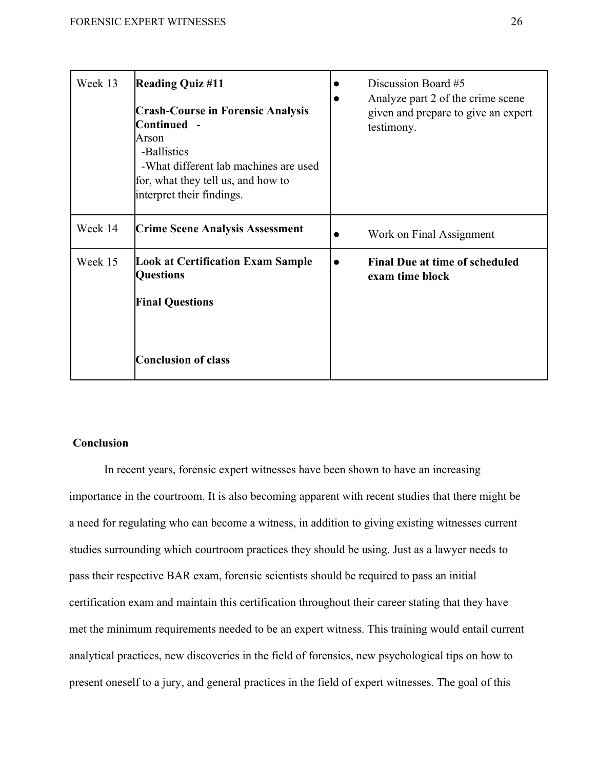| Week 13 | <b>Reading Quiz #11</b><br><b>Crash-Course in Forensic Analysis</b><br>Continued -<br>Arson<br>-Ballistics<br>-What different lab machines are used<br>for, what they tell us, and how to<br>interpret their findings. | Discussion Board #5<br>Analyze part 2 of the crime scene<br>given and prepare to give an expert<br>testimony. |
|---------|------------------------------------------------------------------------------------------------------------------------------------------------------------------------------------------------------------------------|---------------------------------------------------------------------------------------------------------------|
| Week 14 | <b>Crime Scene Analysis Assessment</b>                                                                                                                                                                                 | Work on Final Assignment                                                                                      |
| Week 15 | <b>Look at Certification Exam Sample</b><br><b>Questions</b><br><b>Final Questions</b><br><b>Conclusion of class</b>                                                                                                   | <b>Final Due at time of scheduled</b><br>exam time block                                                      |

# **Conclusion**

In recent years, forensic expert witnesses have been shown to have an increasing importance in the courtroom. It is also becoming apparent with recent studies that there might be a need for regulating who can become a witness, in addition to giving existing witnesses current studies surrounding which courtroom practices they should be using. Just as a lawyer needs to pass their respective BAR exam, forensic scientists should be required to pass an initial certification exam and maintain this certification throughout their career stating that they have met the minimum requirements needed to be an expert witness. This training would entail current analytical practices, new discoveries in the field of forensics, new psychological tips on how to present oneself to a jury, and general practices in the field of expert witnesses. The goal of this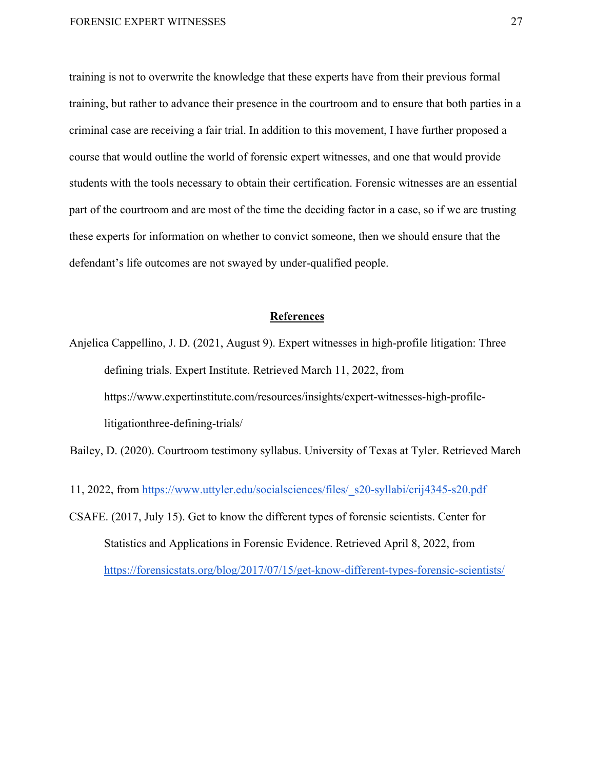training is not to overwrite the knowledge that these experts have from their previous formal training, but rather to advance their presence in the courtroom and to ensure that both parties in a criminal case are receiving a fair trial. In addition to this movement, I have further proposed a course that would outline the world of forensic expert witnesses, and one that would provide students with the tools necessary to obtain their certification. Forensic witnesses are an essential part of the courtroom and are most of the time the deciding factor in a case, so if we are trusting these experts for information on whether to convict someone, then we should ensure that the defendant's life outcomes are not swayed by under-qualified people.

# **References**

Anjelica Cappellino, J. D. (2021, August 9). Expert witnesses in high-profile litigation: Three defining trials. Expert Institute. Retrieved March 11, 2022, from https://www.expertinstitute.com/resources/insights/expert-witnesses-high-profilelitigationthree-defining-trials/

Bailey, D. (2020). Courtroom testimony syllabus. University of Texas at Tyler. Retrieved March

- 11, 2022, from https://www.uttyler.edu/socialsciences/files/\_s20-syllabi/crij4345-s20.pdf
- CSAFE. (2017, July 15). Get to know the different types of forensic scientists. Center for Statistics and Applications in Forensic Evidence. Retrieved April 8, 2022, from https://forensicstats.org/blog/2017/07/15/get-know-different-types-forensic-scientists/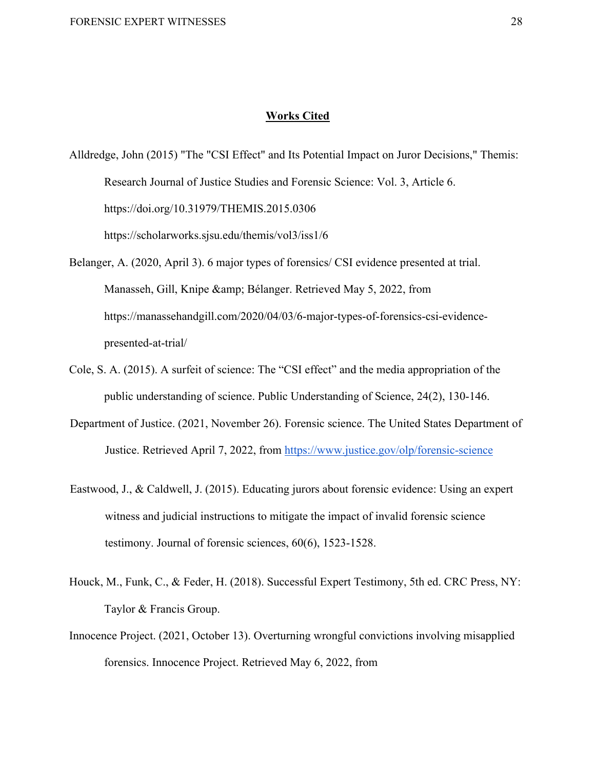# **Works Cited**

Alldredge, John (2015) "The "CSI Effect" and Its Potential Impact on Juror Decisions," Themis: Research Journal of Justice Studies and Forensic Science: Vol. 3, Article 6. https://doi.org/10.31979/THEMIS.2015.0306 https://scholarworks.sjsu.edu/themis/vol3/iss1/6

Belanger, A. (2020, April 3). 6 major types of forensics/ CSI evidence presented at trial.

Manasseh, Gill, Knipe & amp; Bélanger. Retrieved May 5, 2022, from https://manassehandgill.com/2020/04/03/6-major-types-of-forensics-csi-evidencepresented-at-trial/

- Cole, S. A. (2015). A surfeit of science: The "CSI effect" and the media appropriation of the public understanding of science. Public Understanding of Science, 24(2), 130-146.
- Department of Justice. (2021, November 26). Forensic science. The United States Department of Justice. Retrieved April 7, 2022, from https://www.justice.gov/olp/forensic-science
- Eastwood, J., & Caldwell, J. (2015). Educating jurors about forensic evidence: Using an expert witness and judicial instructions to mitigate the impact of invalid forensic science testimony. Journal of forensic sciences, 60(6), 1523-1528.
- Houck, M., Funk, C., & Feder, H. (2018). Successful Expert Testimony, 5th ed. CRC Press, NY: Taylor & Francis Group.
- Innocence Project. (2021, October 13). Overturning wrongful convictions involving misapplied forensics. Innocence Project. Retrieved May 6, 2022, from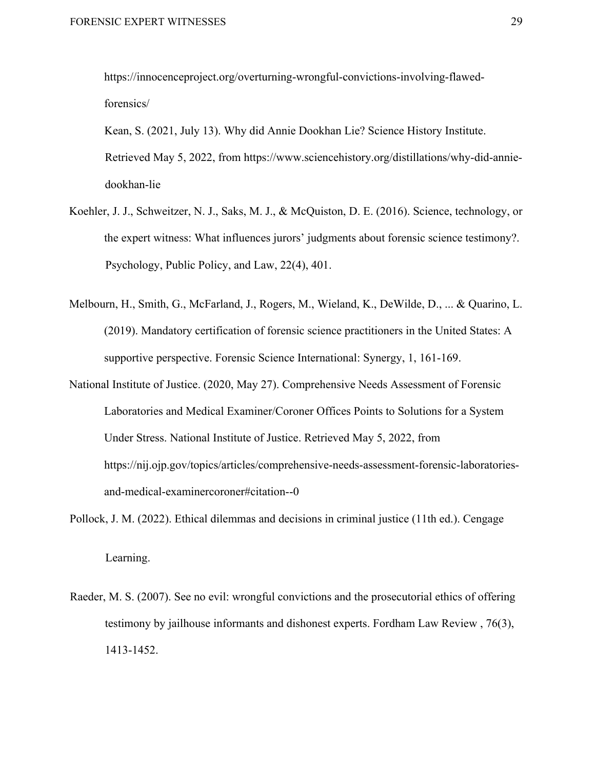https://innocenceproject.org/overturning-wrongful-convictions-involving-flawedforensics/

Kean, S. (2021, July 13). Why did Annie Dookhan Lie? Science History Institute. Retrieved May 5, 2022, from https://www.sciencehistory.org/distillations/why-did-anniedookhan-lie

- Koehler, J. J., Schweitzer, N. J., Saks, M. J., & McQuiston, D. E. (2016). Science, technology, or the expert witness: What influences jurors' judgments about forensic science testimony?. Psychology, Public Policy, and Law, 22(4), 401.
- Melbourn, H., Smith, G., McFarland, J., Rogers, M., Wieland, K., DeWilde, D., ... & Quarino, L. (2019). Mandatory certification of forensic science practitioners in the United States: A supportive perspective. Forensic Science International: Synergy, 1, 161-169.
- National Institute of Justice. (2020, May 27). Comprehensive Needs Assessment of Forensic Laboratories and Medical Examiner/Coroner Offices Points to Solutions for a System Under Stress. National Institute of Justice. Retrieved May 5, 2022, from https://nij.ojp.gov/topics/articles/comprehensive-needs-assessment-forensic-laboratoriesand-medical-examinercoroner#citation--0
- Pollock, J. M. (2022). Ethical dilemmas and decisions in criminal justice (11th ed.). Cengage Learning.
- Raeder, M. S. (2007). See no evil: wrongful convictions and the prosecutorial ethics of offering testimony by jailhouse informants and dishonest experts. Fordham Law Review , 76(3), 1413-1452.